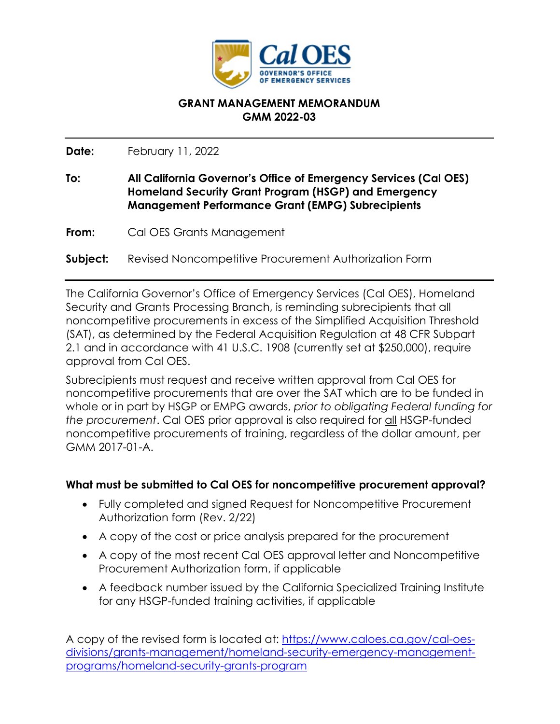

## **GRANT MANAGEMENT MEMORANDUM GMM 2022-03**

**Date:**  February 11, 2022

- **To: All California Governor's Office of Emergency Services (Cal OES) Homeland Security Grant Program (HSGP) and Emergency Management Performance Grant (EMPG) Subrecipients**
- **From:**  Cal OES Grants Management
- **Subject:** Revised Noncompetitive Procurement Authorization Form

The California Governor's Office of Emergency Services (Cal OES), Homeland Security and Grants Processing Branch, is reminding subrecipients that all noncompetitive procurements in excess of the Simplified Acquisition Threshold (SAT), as determined by the Federal Acquisition Regulation at 48 CFR Subpart 2.1 and in accordance with 41 U.S.C. 1908 (currently set at \$250,000), require approval from Cal OES.

Subrecipients must request and receive written approval from Cal OES for noncompetitive procurements that are over the SAT which are to be funded in whole or in part by HSGP or EMPG awards, *prior to obligating Federal funding for the procurement*. Cal OES prior approval is also required for all HSGP-funded noncompetitive procurements of training, regardless of the dollar amount, per GMM 2017-01-A.

## **What must be submitted to Cal OES for noncompetitive procurement approval?**

- Fully completed and signed Request for Noncompetitive Procurement Authorization form (Rev. 2/22)
- A copy of the cost or price analysis prepared for the procurement
- A copy of the most recent Cal OES approval letter and Noncompetitive Procurement Authorization form, if applicable
- A feedback number issued by the California Specialized Training Institute for any HSGP-funded training activities, if applicable

A copy of the revised form is located at: [https://www.caloes.ca.gov/cal-oes](https://www.caloes.ca.gov/cal-oes-divisions/grants-management/homeland-security-emergency-management-programs/homeland-security-grants-program)[divisions/grants-management/homeland-security-emergency-management](https://www.caloes.ca.gov/cal-oes-divisions/grants-management/homeland-security-emergency-management-programs/homeland-security-grants-program)[programs/homeland-security-grants-program](https://www.caloes.ca.gov/cal-oes-divisions/grants-management/homeland-security-emergency-management-programs/homeland-security-grants-program)